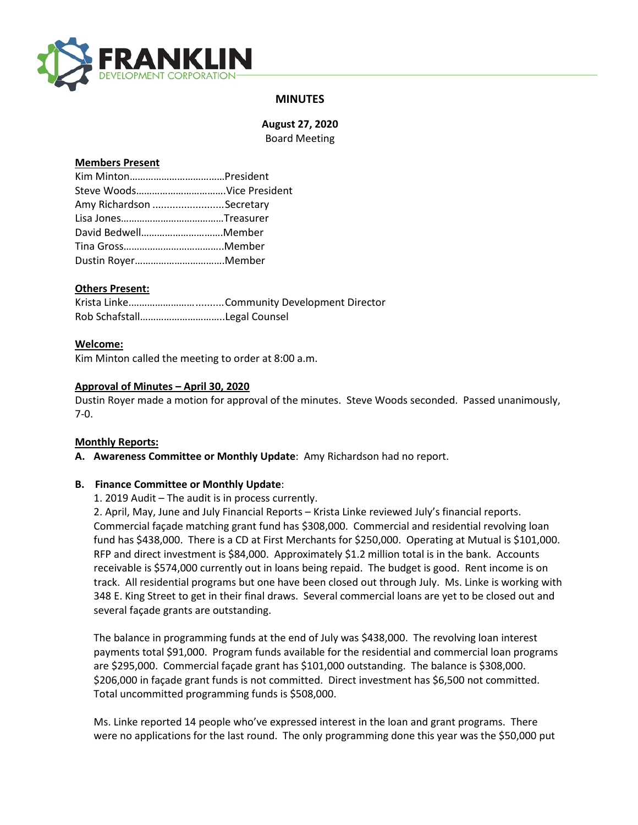

## **MINUTES**

**August 27, 2020** Board Meeting

#### **Members Present**

| Amy Richardson Secretary |  |
|--------------------------|--|
|                          |  |
| David BedwellMember      |  |
|                          |  |
|                          |  |

## **Others Present:**

#### **Welcome:**

Kim Minton called the meeting to order at 8:00 a.m.

#### **Approval of Minutes – April 30, 2020**

Dustin Royer made a motion for approval of the minutes. Steve Woods seconded. Passed unanimously, 7-0.

#### **Monthly Reports:**

**A. Awareness Committee or Monthly Update**: Amy Richardson had no report.

## **B. Finance Committee or Monthly Update**:

1. 2019 Audit – The audit is in process currently.

2. April, May, June and July Financial Reports – Krista Linke reviewed July's financial reports. Commercial façade matching grant fund has \$308,000. Commercial and residential revolving loan fund has \$438,000. There is a CD at First Merchants for \$250,000. Operating at Mutual is \$101,000. RFP and direct investment is \$84,000. Approximately \$1.2 million total is in the bank. Accounts receivable is \$574,000 currently out in loans being repaid. The budget is good. Rent income is on track. All residential programs but one have been closed out through July. Ms. Linke is working with 348 E. King Street to get in their final draws. Several commercial loans are yet to be closed out and several façade grants are outstanding.

The balance in programming funds at the end of July was \$438,000. The revolving loan interest payments total \$91,000. Program funds available for the residential and commercial loan programs are \$295,000. Commercial façade grant has \$101,000 outstanding. The balance is \$308,000. \$206,000 in façade grant funds is not committed. Direct investment has \$6,500 not committed. Total uncommitted programming funds is \$508,000.

Ms. Linke reported 14 people who've expressed interest in the loan and grant programs. There were no applications for the last round. The only programming done this year was the \$50,000 put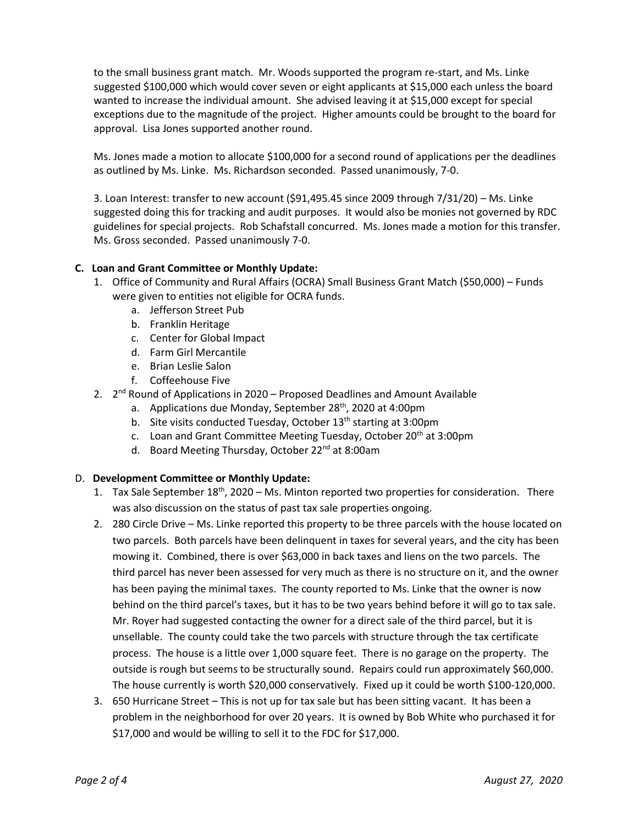to the small business grant match. Mr. Woods supported the program re-start, and Ms. Linke suggested \$100,000 which would cover seven or eight applicants at \$15,000 each unless the board wanted to increase the individual amount. She advised leaving it at \$15,000 except for special exceptions due to the magnitude of the project. Higher amounts could be brought to the board for approval. Lisa Jones supported another round.

Ms. Jones made a motion to allocate \$100,000 for a second round of applications per the deadlines as outlined by Ms. Linke. Ms. Richardson seconded. Passed unanimously, 7-0.

3. Loan Interest: transfer to new account (\$91,495.45 since 2009 through 7/31/20) – Ms. Linke suggested doing this for tracking and audit purposes. It would also be monies not governed by RDC guidelines for special projects. Rob Schafstall concurred. Ms. Jones made a motion for this transfer. Ms. Gross seconded. Passed unanimously 7-0.

## **C. Loan and Grant Committee or Monthly Update:**

- 1. Office of Community and Rural Affairs (OCRA) Small Business Grant Match (\$50,000) Funds were given to entities not eligible for OCRA funds.
	- a. Jefferson Street Pub
	- b. Franklin Heritage
	- c. Center for Global Impact
	- d. Farm Girl Mercantile
	- e. Brian Leslie Salon
	- f. Coffeehouse Five
- 2.  $2^{nd}$  Round of Applications in 2020 Proposed Deadlines and Amount Available
	- a. Applications due Monday, September 28<sup>th</sup>, 2020 at 4:00pm
	- b. Site visits conducted Tuesday, October 13<sup>th</sup> starting at 3:00pm
	- c. Loan and Grant Committee Meeting Tuesday, October 20<sup>th</sup> at 3:00pm
	- d. Board Meeting Thursday, October 22<sup>nd</sup> at 8:00am

## D. **Development Committee or Monthly Update:**

- 1. Tax Sale September  $18<sup>th</sup>$ , 2020 Ms. Minton reported two properties for consideration. There was also discussion on the status of past tax sale properties ongoing.
- 2. 280 Circle Drive Ms. Linke reported this property to be three parcels with the house located on two parcels. Both parcels have been delinquent in taxes for several years, and the city has been mowing it. Combined, there is over \$63,000 in back taxes and liens on the two parcels. The third parcel has never been assessed for very much as there is no structure on it, and the owner has been paying the minimal taxes. The county reported to Ms. Linke that the owner is now behind on the third parcel's taxes, but it has to be two years behind before it will go to tax sale. Mr. Royer had suggested contacting the owner for a direct sale of the third parcel, but it is unsellable. The county could take the two parcels with structure through the tax certificate process. The house is a little over 1,000 square feet. There is no garage on the property. The outside is rough but seems to be structurally sound. Repairs could run approximately \$60,000. The house currently is worth \$20,000 conservatively. Fixed up it could be worth \$100-120,000.
- 3. 650 Hurricane Street This is not up for tax sale but has been sitting vacant. It has been a problem in the neighborhood for over 20 years. It is owned by Bob White who purchased it for \$17,000 and would be willing to sell it to the FDC for \$17,000.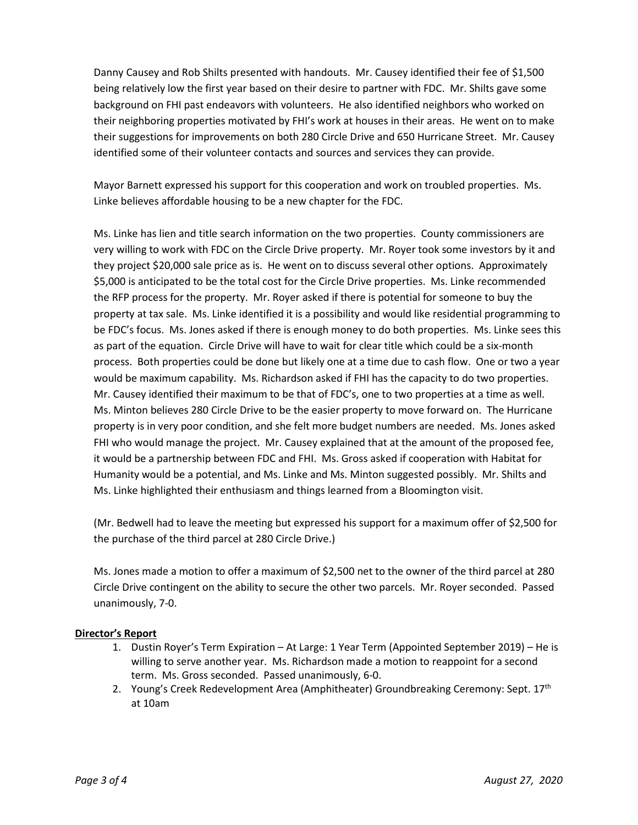Danny Causey and Rob Shilts presented with handouts. Mr. Causey identified their fee of \$1,500 being relatively low the first year based on their desire to partner with FDC. Mr. Shilts gave some background on FHI past endeavors with volunteers. He also identified neighbors who worked on their neighboring properties motivated by FHI's work at houses in their areas. He went on to make their suggestions for improvements on both 280 Circle Drive and 650 Hurricane Street. Mr. Causey identified some of their volunteer contacts and sources and services they can provide.

Mayor Barnett expressed his support for this cooperation and work on troubled properties. Ms. Linke believes affordable housing to be a new chapter for the FDC.

Ms. Linke has lien and title search information on the two properties. County commissioners are very willing to work with FDC on the Circle Drive property. Mr. Royer took some investors by it and they project \$20,000 sale price as is. He went on to discuss several other options. Approximately \$5,000 is anticipated to be the total cost for the Circle Drive properties. Ms. Linke recommended the RFP process for the property. Mr. Royer asked if there is potential for someone to buy the property at tax sale. Ms. Linke identified it is a possibility and would like residential programming to be FDC's focus. Ms. Jones asked if there is enough money to do both properties. Ms. Linke sees this as part of the equation. Circle Drive will have to wait for clear title which could be a six-month process. Both properties could be done but likely one at a time due to cash flow. One or two a year would be maximum capability. Ms. Richardson asked if FHI has the capacity to do two properties. Mr. Causey identified their maximum to be that of FDC's, one to two properties at a time as well. Ms. Minton believes 280 Circle Drive to be the easier property to move forward on. The Hurricane property is in very poor condition, and she felt more budget numbers are needed. Ms. Jones asked FHI who would manage the project. Mr. Causey explained that at the amount of the proposed fee, it would be a partnership between FDC and FHI. Ms. Gross asked if cooperation with Habitat for Humanity would be a potential, and Ms. Linke and Ms. Minton suggested possibly. Mr. Shilts and Ms. Linke highlighted their enthusiasm and things learned from a Bloomington visit.

(Mr. Bedwell had to leave the meeting but expressed his support for a maximum offer of \$2,500 for the purchase of the third parcel at 280 Circle Drive.)

Ms. Jones made a motion to offer a maximum of \$2,500 net to the owner of the third parcel at 280 Circle Drive contingent on the ability to secure the other two parcels. Mr. Royer seconded. Passed unanimously, 7-0.

## **Director's Report**

- 1. Dustin Royer's Term Expiration At Large: 1 Year Term (Appointed September 2019) He is willing to serve another year. Ms. Richardson made a motion to reappoint for a second term. Ms. Gross seconded. Passed unanimously, 6-0.
- 2. Young's Creek Redevelopment Area (Amphitheater) Groundbreaking Ceremony: Sept. 17<sup>th</sup> at 10am